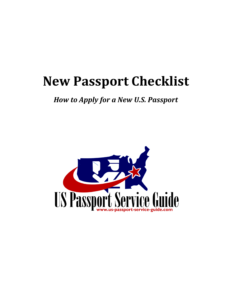# **New Passport Checklist**

*How to Apply for a New U.S. Passport*

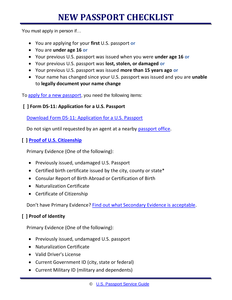# **NEW PASSPORT CHECKLIST**

You must apply in person if…

- You are applying for your **first** U.S. passport **or**
- You are **under age 16 or**
- Your previous U.S. passport was issued when you were **under age 16 or**
- Your previous U.S. passport was **lost, stolen, or damaged or**
- Your previous U.S. passport was issued **more than 15 years ago or**
- Your name has changed since your U.S. passport was issued and you are **unable** to **legally document your name change**

To [apply for a new passport](http://www.us-passport-service-guide.com/DSNewPassport), you need the following items:

**[ ] Form DS-11: Application for a U.S. Passport**

[Download Form DS-11: Application for a U.S. Passport](http://www.us-passport-service-guide.com/DSPassportApplicationDS11)

Do not sign until requested by an agent at a nearby [passport office.](http://www.us-passport-service-guide.com/DSPassportOffices)

#### **[ ] [Proof of U.S. Citizenship](http://www.us-passport-service-guide.com/DSProofofCitizenship)**

Primary Evidence (One of the following):

- Previously issued, undamaged U.S. Passport
- Certified birth certificate issued by the city, county or state\*
- Consular Report of Birth Abroad or Certification of Birth
- Naturalization Certificate
- Certificate of Citizenship

Don't have Primary Evidence? [Find out what Secondary Evidence is acceptable.](http://www.us-passport-service-guide.com/DSSecondaryProofofCitizenship)

### **[ ] Proof of Identity**

Primary Evidence (One of the following):

- Previously issued, undamaged U.S. passport
- Naturalization Certificate
- Valid Driver's License
- Current Government ID (city, state or federal)
- Current Military ID (military and dependents)